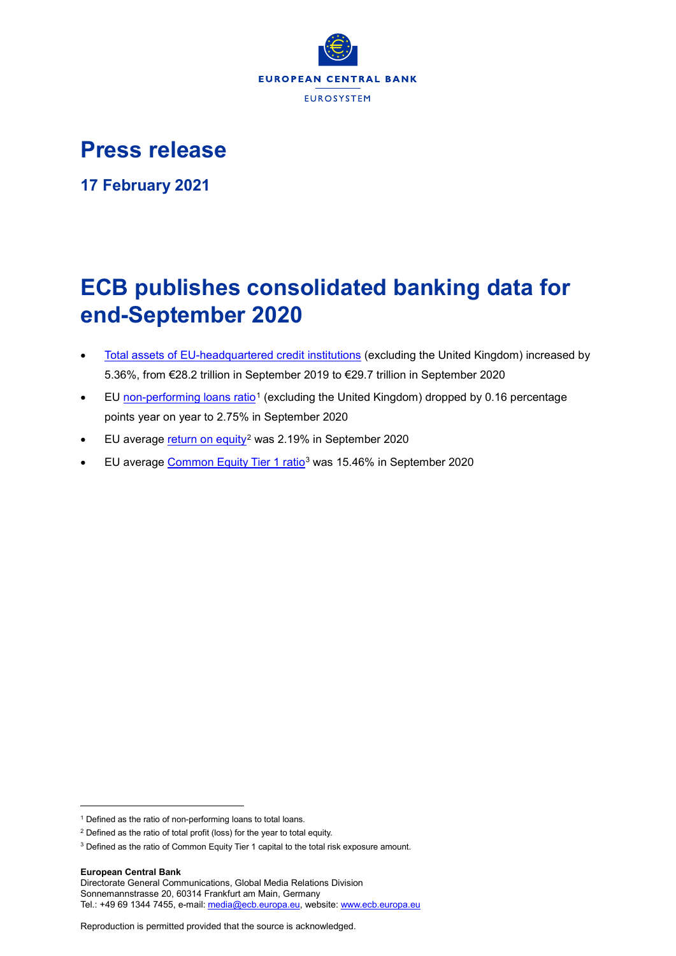

# **Press release**

**17 February 2021**

# **ECB publishes consolidated banking data for end-September 2020**

- [Total assets of EU-headquartered credit institutions](https://sdw.ecb.europa.eu/browseSelection.do?type=series&q=CBD2.Q.%3f.W0.11._Z._Z.A.A.A0000._X.ALL.CA._Z.LE._T.EUR&node=SEARCHRESULTS&ec=&oc=&rc=&cv=&pb=&dc=&df=) (excluding the United Kingdom) increased by 5.36%, from €28.2 trillion in September 2019 to €29.7 trillion in September 2020
- EU [non-performing loans ratio](https://sdw.ecb.europa.eu/browseSelection.do?type=series&q=CBD2.Q.%3f.W0.11._Z._Z.A.F.I3632._Z._Z._Z._Z._Z._Z.PC&node=SEARCHRESULTS&ec=&oc=&rc=&cv=&pb=&dc=&df=)<sup>[1](#page-0-0)</sup> (excluding the United Kingdom) dropped by 0.16 percentage points year on year to 2.75% in September 2020
- EU average [return on equity](https://sdw.ecb.europa.eu/browseSelection.do?type=series&q=CBD2.Q.%3f.W0.11._Z._Z.A.A.I2003._Z._Z._Z._Z._Z._Z.PC&node=SEARCHRESULTS&ec=&oc=&rc=&cv=&pb=&dc=&df=)<sup>[2](#page-0-1)</sup> was 2.19% in September 2020
- EU average [Common Equity Tier 1 ratio](https://sdw.ecb.europa.eu/browseSelection.do?type=series&q=CBD2.Q.%3f.W0.11._Z._Z.A.A.I4008._Z._Z._Z._Z._Z._Z.PC&node=SEARCHRESULTS&ec=&oc=&rc=&cv=&pb=&dc=&df=)[3](#page-0-2) was 15.46% in September 2020

**European Central Bank**

-

<span id="page-0-0"></span><sup>&</sup>lt;sup>1</sup> Defined as the ratio of non-performing loans to total loans.

<span id="page-0-1"></span><sup>2</sup> Defined as the ratio of total profit (loss) for the year to total equity.

<span id="page-0-2"></span><sup>&</sup>lt;sup>3</sup> Defined as the ratio of Common Equity Tier 1 capital to the total risk exposure amount.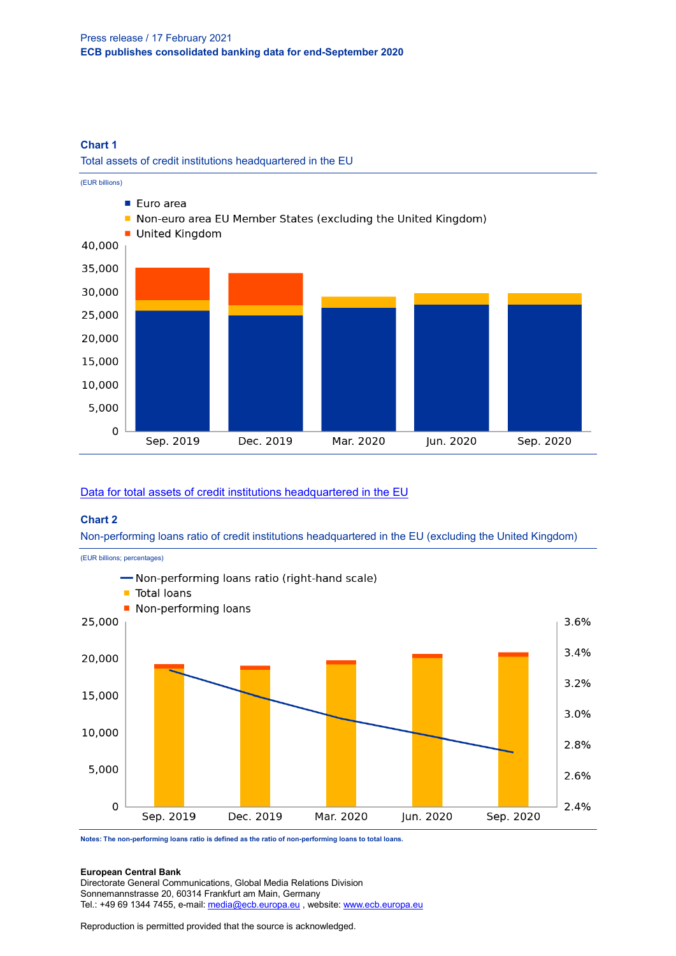# **Chart 1**

Total assets of credit institutions headquartered in the EU



# [Data for total assets of credit institutions headquartered in the EU](https://sdw.ecb.europa.eu/browseSelection.do?type=series&q=CBD2.Q.%3f.W0.11._Z._Z.A.A.A0000._X.ALL.CA._Z.LE._T.EUR&node=SEARCHRESULTS&ec=&oc=&rc=&cv=&pb=&dc=&df=)

## **Chart 2**

Non-performing loans ratio of credit institutions headquartered in the EU (excluding the United Kingdom)



**Notes: The non-performing loans ratio is defined as the ratio of non-performing loans to total loans.**

#### **European Central Bank**

Directorate General Communications, Global Media Relations Division Sonnemannstrasse 20, 60314 Frankfurt am Main, Germany Tel.: +49 69 1344 7455, e-mail[: media@ecb.europa.eu](mailto:media@ecb.europa.eu), website[: www.ecb.europa.eu](http://www.ecb.europa.eu/)

Reproduction is permitted provided that the source is acknowledged.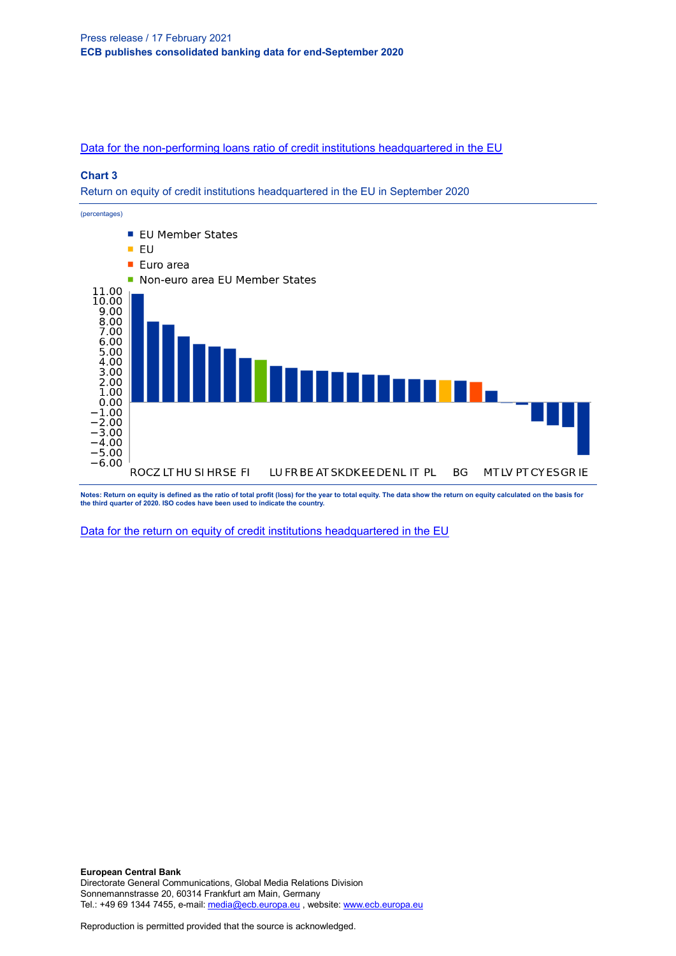[Data for the non-performing loans ratio of credit institutions headquartered in the EU](https://sdw.ecb.europa.eu/browseSelection.do?type=series&q=CBD2.Q.%3f.W0.11._Z._Z.A.F.I3632._Z._Z._Z._Z._Z._Z.PC&node=SEARCHRESULTS&ec=&oc=&rc=&cv=&pb=&dc=&df=)

### **Chart 3**

Return on equity of credit institutions headquartered in the EU in September 2020



**Notes: Return on equity is defined as the ratio of total profit (loss) for the year to total equity. The data show the return on equity calculated on the basis for the third quarter of 2020. ISO codes have been used to indicate the country.**

[Data for the return on equity of credit institutions](https://sdw.ecb.europa.eu/browseSelection.do?type=series&q=CBD2.Q.%3f.W0.11._Z._Z.A.A.I2003._Z._Z._Z._Z._Z._Z.PC&node=SEARCHRESULTS&ec=&oc=&rc=&cv=&pb=&dc=&df=) headquartered in the EU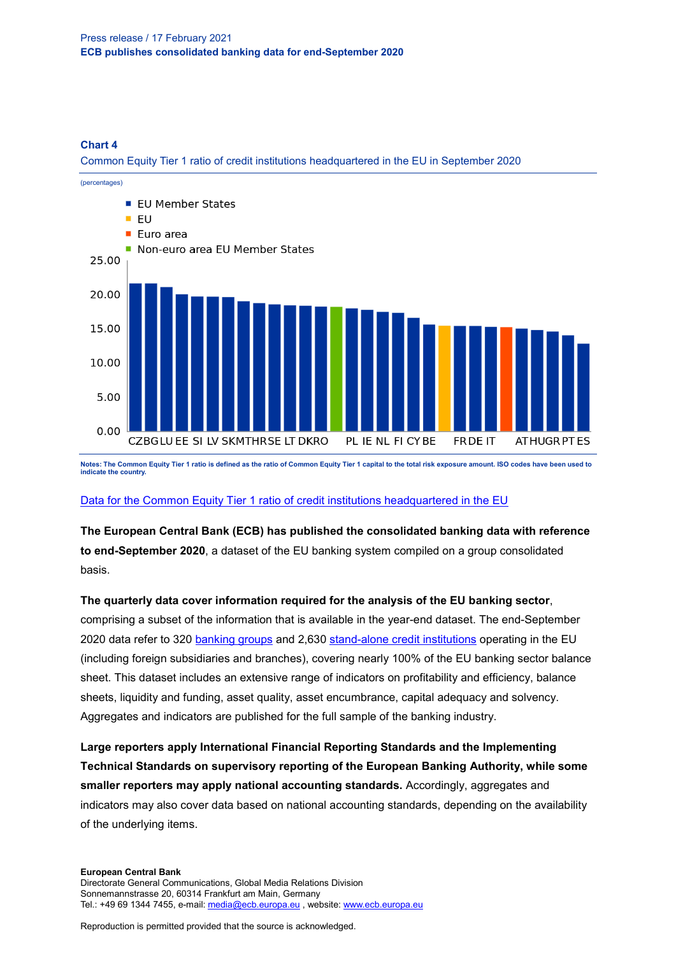#### **Chart 4**

Common Equity Tier 1 ratio of credit institutions headquartered in the EU in September 2020



**Notes: The Common Equity Tier 1 ratio is defined as the ratio of Common Equity Tier 1 capital to the total risk exposure amount. ISO codes have been used to indicate the country.**

[Data for the Common Equity Tier 1 ratio of credit institutions headquartered in the EU](https://sdw.ecb.europa.eu/browseSelection.do?type=series&q=CBD2.Q.%3f.W0.11._Z._Z.A.A.I4008._Z._Z._Z._Z._Z._Z.PC&node=SEARCHRESULTS&ec=&oc=&rc=&cv=&pb=&dc=&df=)

**The European Central Bank (ECB) has published the consolidated banking data with reference to end-September 2020**, a dataset of the EU banking system compiled on a group consolidated basis.

## **The quarterly data cover information required for the analysis of the EU banking sector**,

comprising a subset of the information that is available in the year-end dataset. The end-September 2020 data refer to 320 [banking groups](http://sdw.ecb.europa.eu/browseSelection.do?type=series&q=CBD2.Q.B0._Z.47._Z._Z.A.A.R0103._Z._Z._Z._Z.LE._Z.PN&node=SEARCHRESULTS&ec=&oc=&rc=&cv=&pb=&dc=&df) and 2,630 [stand-alone credit institutions](http://sdw.ecb.europa.eu/browseSelection.do?type=series&q=CBD2.Q.B0._Z.47._Z._Z.A.A.R0101._Z._Z._Z._Z.LE._Z.PN&node=SEARCHRESULTS&ec=&oc=&rc=&cv=&pb=&dc=&df) operating in the EU (including foreign subsidiaries and branches), covering nearly 100% of the EU banking sector balance sheet. This dataset includes an extensive range of indicators on profitability and efficiency, balance sheets, liquidity and funding, asset quality, asset encumbrance, capital adequacy and solvency. Aggregates and indicators are published for the full sample of the banking industry.

**Large reporters apply International Financial Reporting Standards and the Implementing Technical Standards on supervisory reporting of the European Banking Authority, while some smaller reporters may apply national accounting standards.** Accordingly, aggregates and indicators may also cover data based on national accounting standards, depending on the availability of the underlying items.

#### **European Central Bank** Directorate General Communications, Global Media Relations Division Sonnemannstrasse 20, 60314 Frankfurt am Main, Germany Tel.: +49 69 1344 7455, e-mail[: media@ecb.europa.eu](mailto:media@ecb.europa.eu), website[: www.ecb.europa.eu](http://www.ecb.europa.eu/)

Reproduction is permitted provided that the source is acknowledged.